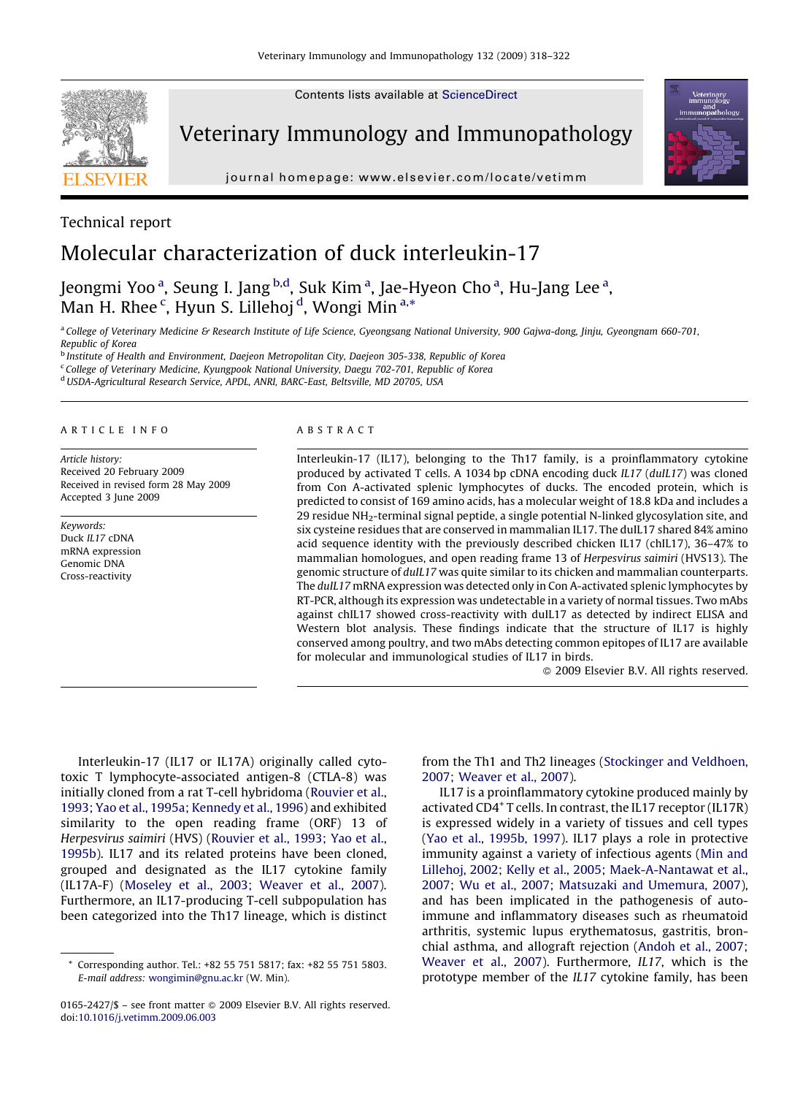Contents lists available at [ScienceDirect](http://www.sciencedirect.com/science/journal/01652427)



Veterinary Immunology and Immunopathology

journal homepage: www.elsevier.com/locate/vetimm



# Technical report

# Molecular characterization of duck interleukin-17

Jeongmi Yoo<sup>a</sup>, Seung I. Jang <sup>b,d</sup>, Suk Kim<sup>a</sup>, Jae-Hyeon Cho<sup>a</sup>, Hu-Jang Lee<sup>a</sup>, Man H. Rhee<sup>c</sup>, Hyun S. Lillehoj <sup>d</sup>, Wongi Min <sup>a,\*</sup>

a College of Veterinary Medicine & Research Institute of Life Science, Gyeongsang National University, 900 Gajwa-dong, Jinju, Gyeongnam 660-701, Republic of Korea

<sup>b</sup> Institute of Health and Environment, Daejeon Metropolitan City, Daejeon 305-338, Republic of Korea <sup>c</sup> College of Veterinary Medicine, Kyungpook National University, Daegu 702-701, Republic of Korea

<sup>d</sup> USDA-Agricultural Research Service, APDL, ANRI, BARC-East, Beltsville, MD 20705, USA

## ARTICLE INFO

Article history: Received 20 February 2009 Received in revised form 28 May 2009 Accepted 3 June 2009

Keywords: Duck IL17 cDNA mRNA expression Genomic DNA Cross-reactivity

#### ABSTRACT

Interleukin-17 (IL17), belonging to the Th17 family, is a proinflammatory cytokine produced by activated T cells. A 1034 bp cDNA encoding duck IL17 (duIL17) was cloned from Con A-activated splenic lymphocytes of ducks. The encoded protein, which is predicted to consist of 169 amino acids, has a molecular weight of 18.8 kDa and includes a 29 residue NH2-terminal signal peptide, a single potential N-linked glycosylation site, and six cysteine residues that are conserved in mammalian IL17. The duIL17 shared 84% amino acid sequence identity with the previously described chicken IL17 (chIL17), 36–47% to mammalian homologues, and open reading frame 13 of Herpesvirus saimiri (HVS13). The genomic structure of duIL17 was quite similar to its chicken and mammalian counterparts. The duIL17 mRNA expression was detected only in Con A-activated splenic lymphocytes by RT-PCR, although its expression was undetectable in a variety of normal tissues. Two mAbs against chIL17 showed cross-reactivity with duIL17 as detected by indirect ELISA and Western blot analysis. These findings indicate that the structure of IL17 is highly conserved among poultry, and two mAbs detecting common epitopes of IL17 are available for molecular and immunological studies of IL17 in birds.

 $\odot$  2009 Elsevier B.V. All rights reserved.

Interleukin-17 (IL17 or IL17A) originally called cytotoxic T lymphocyte-associated antigen-8 (CTLA-8) was initially cloned from a rat T-cell hybridoma ([Rouvier et al.,](#page-4-0) [1993; Yao et al., 1995a; Kennedy et al., 1996\)](#page-4-0) and exhibited similarity to the open reading frame (ORF) 13 of Herpesvirus saimiri (HVS) [\(Rouvier et al., 1993; Yao et al.,](#page-4-0) [1995b](#page-4-0)). IL17 and its related proteins have been cloned, grouped and designated as the IL17 cytokine family (IL17A-F) ([Moseley et al., 2003; Weaver et al., 2007](#page-4-0)). Furthermore, an IL17-producing T-cell subpopulation has been categorized into the Th17 lineage, which is distinct from the Th1 and Th2 lineages ([Stockinger and Veldhoen,](#page-4-0) [2007; Weaver et al., 2007\)](#page-4-0).

IL17 is a proinflammatory cytokine produced mainly by activated CD4<sup>+</sup> T cells. In contrast, the IL17 receptor (IL17R) is expressed widely in a variety of tissues and cell types [\(Yao et al., 1995b, 1997](#page-4-0)). IL17 plays a role in protective immunity against a variety of infectious agents [\(Min and](#page-4-0) [Lillehoj, 2002; Kelly et al., 2005; Maek-A-Nantawat et al.,](#page-4-0) [2007; Wu et al., 2007; Matsuzaki and Umemura, 2007](#page-4-0)), and has been implicated in the pathogenesis of autoimmune and inflammatory diseases such as rheumatoid arthritis, systemic lupus erythematosus, gastritis, bronchial asthma, and allograft rejection ([Andoh et al., 2007;](#page-4-0) [Weaver et al., 2007\)](#page-4-0). Furthermore, IL17, which is the prototype member of the IL17 cytokine family, has been

<sup>\*</sup> Corresponding author. Tel.: +82 55 751 5817; fax: +82 55 751 5803. E-mail address: [wongimin@gnu.ac.kr](mailto:wongimin@gnu.ac.kr) (W. Min).

<sup>0165-2427/\$ –</sup> see front matter © 2009 Elsevier B.V. All rights reserved. doi[:10.1016/j.vetimm.2009.06.003](http://dx.doi.org/10.1016/j.vetimm.2009.06.003)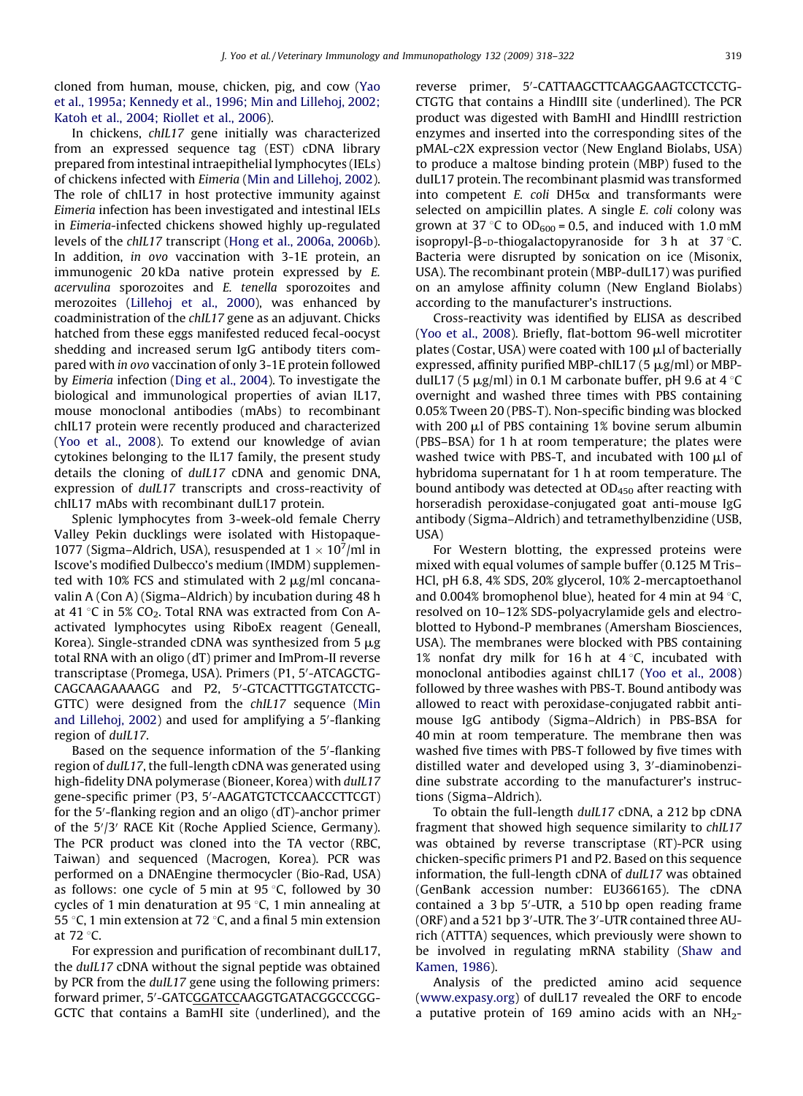cloned from human, mouse, chicken, pig, and cow ([Yao](#page-4-0) [et al., 1995a; Kennedy et al., 1996; Min and Lillehoj, 2002;](#page-4-0) [Katoh et al., 2004; Riollet et al., 2006\)](#page-4-0).

In chickens, chIL17 gene initially was characterized from an expressed sequence tag (EST) cDNA library prepared from intestinal intraepithelial lymphocytes (IELs) of chickens infected with Eimeria ([Min and Lillehoj, 2002](#page-4-0)). The role of chIL17 in host protective immunity against Eimeria infection has been investigated and intestinal IELs in Eimeria-infected chickens showed highly up-regulated levels of the chIL17 transcript [\(Hong et al., 2006a, 2006b](#page-4-0)). In addition, in ovo vaccination with 3-1E protein, an immunogenic 20 kDa native protein expressed by E. acervulina sporozoites and E. tenella sporozoites and merozoites ([Lillehoj et al., 2000\)](#page-4-0), was enhanced by coadministration of the chIL17 gene as an adjuvant. Chicks hatched from these eggs manifested reduced fecal-oocyst shedding and increased serum IgG antibody titers compared with in ovo vaccination of only 3-1E protein followed by Eimeria infection ([Ding et al., 2004\)](#page-4-0). To investigate the biological and immunological properties of avian IL17, mouse monoclonal antibodies (mAbs) to recombinant chIL17 protein were recently produced and characterized ([Yoo et al., 2008\)](#page-4-0). To extend our knowledge of avian cytokines belonging to the IL17 family, the present study details the cloning of duIL17 cDNA and genomic DNA, expression of duIL17 transcripts and cross-reactivity of chIL17 mAbs with recombinant duIL17 protein.

Splenic lymphocytes from 3-week-old female Cherry Valley Pekin ducklings were isolated with Histopaque-1077 (Sigma–Aldrich, USA), resuspended at  $1 \times 10^7$ /ml in Iscove's modified Dulbecco's medium (IMDM) supplemented with 10% FCS and stimulated with 2  $\mu$ g/ml concanavalin A (Con A) (Sigma–Aldrich) by incubation during 48 h at 41 °C in 5%  $CO<sub>2</sub>$ . Total RNA was extracted from Con Aactivated lymphocytes using RiboEx reagent (Geneall, Korea). Single-stranded cDNA was synthesized from 5  $\mu$ g total RNA with an oligo (dT) primer and ImProm-II reverse transcriptase (Promega, USA). Primers (P1, 5'-ATCAGCTG-CAGCAAGAAAAGG and P2, 5'-GTCACTTTGGTATCCTG-GTTC) were designed from the chIL17 sequence ([Min](#page-4-0) [and Lillehoj, 2002\)](#page-4-0) and used for amplifying a 5'-flanking region of duIL17.

Based on the sequence information of the 5'-flanking region of duIL17, the full-length cDNA was generated using high-fidelity DNA polymerase (Bioneer, Korea) with duIL17 gene-specific primer (P3, 5'-AAGATGTCTCCAACCCTTCGT) for the 5'-flanking region and an oligo (dT)-anchor primer of the 5'/3' RACE Kit (Roche Applied Science, Germany). The PCR product was cloned into the TA vector (RBC, Taiwan) and sequenced (Macrogen, Korea). PCR was performed on a DNAEngine thermocycler (Bio-Rad, USA) as follows: one cycle of 5 min at  $95^{\circ}$ C, followed by 30 cycles of 1 min denaturation at 95 °C, 1 min annealing at 55 °C, 1 min extension at 72 °C, and a final 5 min extension at  $72 °C$ .

For expression and purification of recombinant duIL17, the duIL17 cDNA without the signal peptide was obtained by PCR from the duIL17 gene using the following primers: forward primer, 5'-GATCCGATCCAAGGTGATACGGCCCGG-GCTC that contains a BamHI site (underlined), and the

reverse primer, 5'-CATTAAGCTTCAAGGAAGTCCTCCTG-CTGTG that contains a HindIII site (underlined). The PCR product was digested with BamHI and HindIII restriction enzymes and inserted into the corresponding sites of the pMAL-c2X expression vector (New England Biolabs, USA) to produce a maltose binding protein (MBP) fused to the duIL17 protein. The recombinant plasmid was transformed into competent E. coli DH5 $\alpha$  and transformants were selected on ampicillin plates. A single E. coli colony was grown at 37 °C to  $OD_{600} = 0.5$ , and induced with 1.0 mM isopropyl- $\beta$ -D-thiogalactopyranoside for 3 h at 37 °C. Bacteria were disrupted by sonication on ice (Misonix, USA). The recombinant protein (MBP-duIL17) was purified on an amylose affinity column (New England Biolabs) according to the manufacturer's instructions.

Cross-reactivity was identified by ELISA as described [\(Yoo et al., 2008\)](#page-4-0). Briefly, flat-bottom 96-well microtiter plates (Costar, USA) were coated with 100  $\mu$ l of bacterially expressed, affinity purified MBP-chIL17 (5  $\mu$ g/ml) or MBPduIL17 (5  $\mu$ g/ml) in 0.1 M carbonate buffer, pH 9.6 at 4 °C overnight and washed three times with PBS containing 0.05% Tween 20 (PBS-T). Non-specific binding was blocked with 200  $\mu$ l of PBS containing 1% bovine serum albumin (PBS–BSA) for 1 h at room temperature; the plates were washed twice with PBS-T, and incubated with 100  $\mu$ l of hybridoma supernatant for 1 h at room temperature. The bound antibody was detected at  $OD<sub>450</sub>$  after reacting with horseradish peroxidase-conjugated goat anti-mouse IgG antibody (Sigma–Aldrich) and tetramethylbenzidine (USB, USA)

For Western blotting, the expressed proteins were mixed with equal volumes of sample buffer (0.125 M Tris– HCl, pH 6.8, 4% SDS, 20% glycerol, 10% 2-mercaptoethanol and 0.004% bromophenol blue), heated for 4 min at 94  $\degree$ C, resolved on 10–12% SDS-polyacrylamide gels and electroblotted to Hybond-P membranes (Amersham Biosciences, USA). The membranes were blocked with PBS containing 1% nonfat dry milk for 16 h at  $4^{\circ}$ C, incubated with monoclonal antibodies against chIL17 [\(Yoo et al., 2008](#page-4-0)) followed by three washes with PBS-T. Bound antibody was allowed to react with peroxidase-conjugated rabbit antimouse IgG antibody (Sigma–Aldrich) in PBS-BSA for 40 min at room temperature. The membrane then was washed five times with PBS-T followed by five times with distilled water and developed using 3, 3'-diaminobenzidine substrate according to the manufacturer's instructions (Sigma–Aldrich).

To obtain the full-length duIL17 cDNA, a 212 bp cDNA fragment that showed high sequence similarity to chIL17 was obtained by reverse transcriptase (RT)-PCR using chicken-specific primers P1 and P2. Based on this sequence information, the full-length cDNA of duIL17 was obtained (GenBank accession number: EU366165). The cDNA contained a 3 bp 5'-UTR, a 510 bp open reading frame (ORF) and a 521 bp 3'-UTR. The 3'-UTR contained three AUrich (ATTTA) sequences, which previously were shown to be involved in regulating mRNA stability ([Shaw and](#page-4-0) [Kamen, 1986\)](#page-4-0).

Analysis of the predicted amino acid sequence [\(www.expasy.org](http://www.expasy.org/)) of duIL17 revealed the ORF to encode a putative protein of 169 amino acids with an  $NH<sub>2</sub>$ -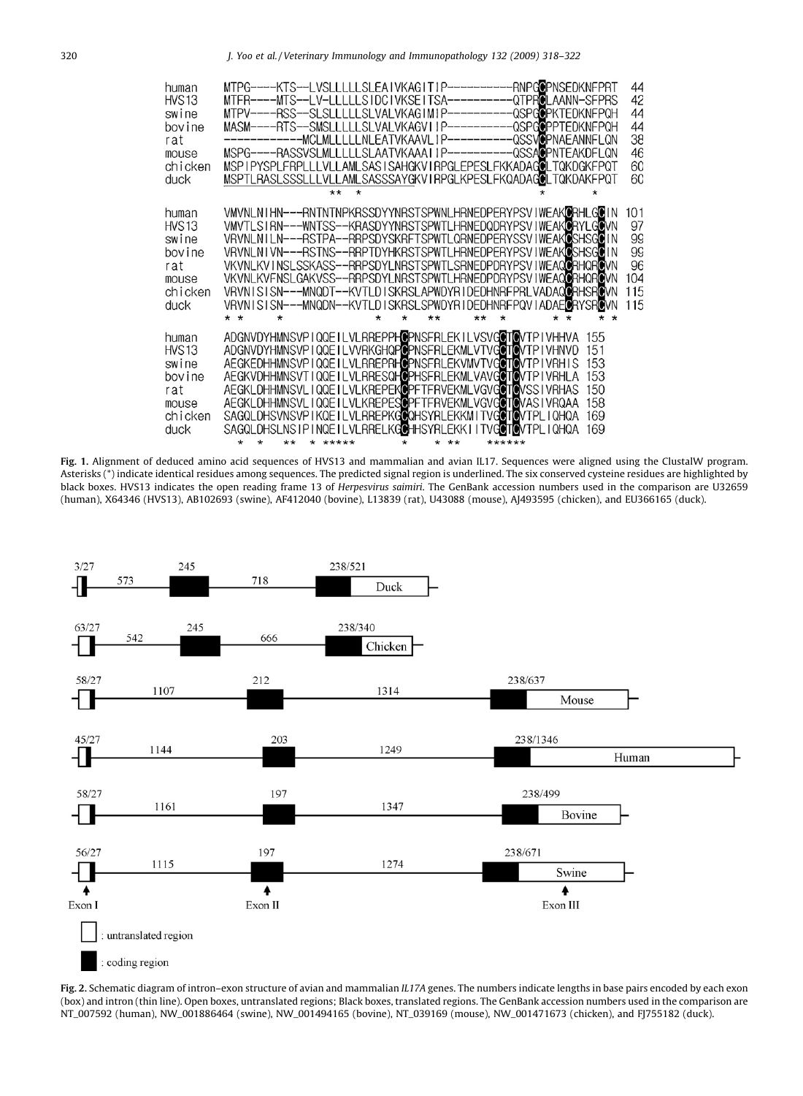<span id="page-2-0"></span>

| human<br>HVS 13<br>swine<br>bovine<br>rat<br>mouse<br>chicken<br>duck | MTPG----KTS--IVSLILLISLEAIVKAGITIP----------RNPGOPNSEDKNEPRT<br>MTFR----MTS--LV-LLLLLSIDCIVKSEITSA----------QTPROLAANN-SFPRS<br>MTPV-----RSS---SLSLLLLLLSLVALVKAGIMIP-----------QSPG@PKTFDKNFPOH<br>MSPG-----RASSVSLMLLLLLSLAATVKAAAIIP-----------QSSAOPNTEAKDFLQN<br>MSPIPYSPLFRPLLLVLLAMLSASISAHGKVIRPGLEPESLFKKADAGOLTOKDGKFPOT<br>MSPTLRASLSSSLLLVLLAMLSASSSAYGKVIRPGLKPESLFKQADAGOLTQKDAKFPQT                                                                                                                                                |         | $***$     |                    |         |      | -MCLMLLLLLNLEATVKAAVLIP---------QSSV@PNAEANNFLQN |                    |                                                      | 44<br>42<br>44<br>44<br>38<br>46<br>6C<br>60     |
|-----------------------------------------------------------------------|---------------------------------------------------------------------------------------------------------------------------------------------------------------------------------------------------------------------------------------------------------------------------------------------------------------------------------------------------------------------------------------------------------------------------------------------------------------------------------------------------------------------------------------------------|---------|-----------|--------------------|---------|------|--------------------------------------------------|--------------------|------------------------------------------------------|--------------------------------------------------|
| human<br>HVS 13<br>swine<br>bovine<br>rat<br>mouse<br>chicken<br>duck | VMVNLNIHN---RNTNTNPKRSSDYYNRSTSPWNLHRNEDPERYPSVIWEAKORHLGOIN<br>VMVTLSIRN---WNTSS--KRASDYYNRSTSPWTLHRNEDQDRYPSVIWEAKORYLGOVN<br>VRVNLNILN---RSTPA--RRPSDYSKRFTSPWTLQRNEDPERYSSVIWEAKOSHSGOIN<br>VRVNLNIVN---RSTNS--RRPTDYHKRSTSPWTLHRNEDPERYPSVIWEAKOSHSGOIN<br>VKVNLKV INSLSSKASS--RRPSDYLNRSTSPWTLSRNEDPDRYPSV IWEAQORHQROVN<br>VKVNLKVFNSLGAKVSS--RRPSDYLNRSTSPWTLHRNEDPDRYPSVIWEAQORHQROVN<br>VRVNISISN---MNQDT--KVTLDISKRSLAPWDYRIDEDHNRFPRLVADAQORHSROVN<br>VRVNISISN---MNQDN--KVTLDISKRSLSPWDYRIDEDHNRFPQVIADAEORYSROVN<br>$\star$ $\star$ | $\star$ |           | $\star$<br>$\star$ | $***$   | $**$ | $\star$                                          | $\star$<br>$\star$ | $\star$<br>$\star$                                   | 101<br>97<br>99<br>9g<br>96<br>104<br>115<br>115 |
| human<br>HVS 13<br>swine<br>bovine<br>rat<br>mouse<br>chicken<br>duck | ADGNVDYHMNSVPIQQEILVLRREPPH@PNSFRLEKILVSVG@T@VTPIVHHVA<br>ADGNVDYHMNSVPIQQEILVVRKGHQP@PNSFRLEKMLVTVG@T@VTPIVHNVD<br>AEGKEDHHMNSVPIQQEILVLRREPRH@PNSFRLEKVMVTVG@T@VTPIVRHIS<br>AEGKVDHHMNSVTIQQEILVLRRESQH@PHSFRLEKMLVAVG@TOVTPIVRHLA<br>AEGKLDHHMNSVLIQQEILVLKREPEK@PFTFRVEKMLVGVG@T@VSSIVRHAS<br>AEGKLDHHMNSVLIQQEILVLKREPESQPFTFRVEKMLVGVGQTQVASIVRQAA<br>SAGQLDHSVNSVPIKQEILVLRREPKGOQHSYRLEKKMITVGOTOVTPLIQHQA<br>SAGQLDHSLNSIPINQEILVLRRELKG@HHSYRLEKKIITVG@T@VTPLIQHQA<br>$\star$<br>$\star$                                                | $***$   | $*$ ***** | $\star$            | $* * *$ |      | ******                                           |                    | 155<br>151<br>153<br>153<br>150<br>158<br>169<br>169 |                                                  |

Fig. 1. Alignment of deduced amino acid sequences of HVS13 and mammalian and avian IL17. Sequences were aligned using the ClustalW program. Asterisks (\*) indicate identical residues among sequences. The predicted signal region is underlined. The six conserved cysteine residues are highlighted by black boxes. HVS13 indicates the open reading frame 13 of Herpesvirus saimiri. The GenBank accession numbers used in the comparison are U32659 (human), X64346 (HVS13), AB102693 (swine), AF412040 (bovine), L13839 (rat), U43088 (mouse), AJ493595 (chicken), and EU366165 (duck).



Fig. 2. Schematic diagram of intron–exon structure of avian and mammalian IL17A genes. The numbers indicate lengths in base pairs encoded by each exon (box) and intron (thin line). Open boxes, untranslated regions; Black boxes, translated regions. The GenBank accession numbers used in the comparison are NT\_007592 (human), NW\_001886464 (swine), NW\_001494165 (bovine), NT\_039169 (mouse), NW\_001471673 (chicken), and FJ755182 (duck).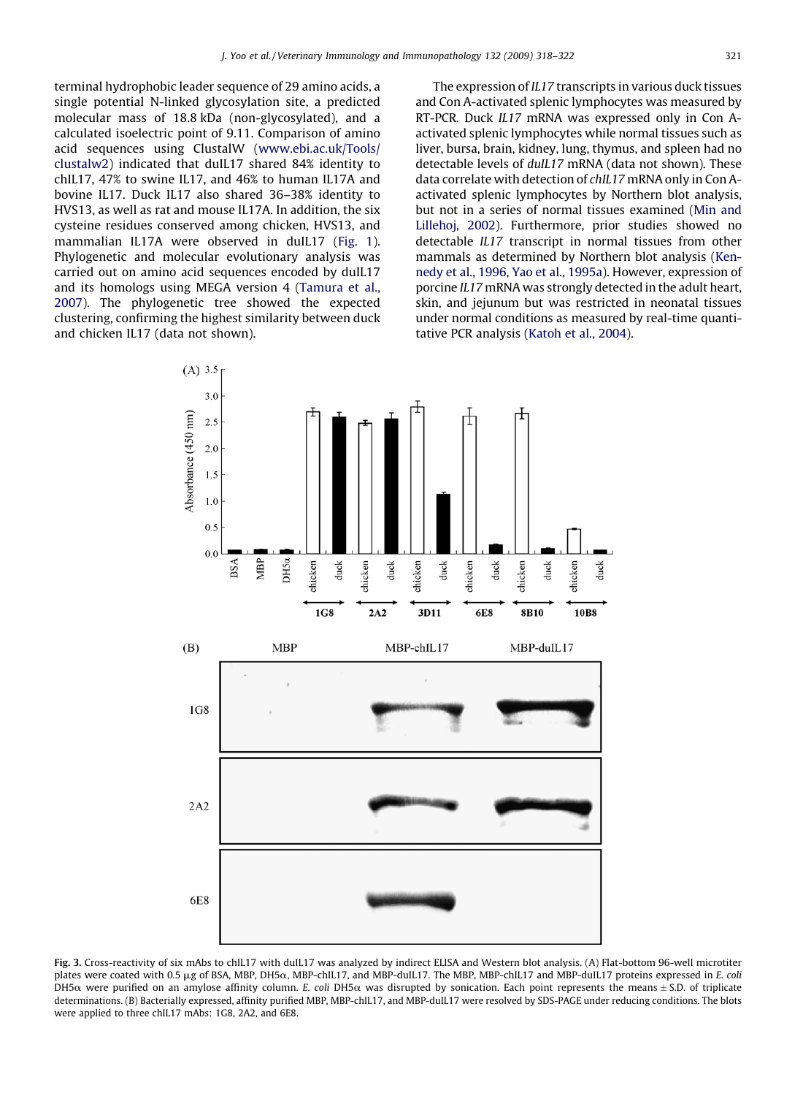<span id="page-3-0"></span>terminal hydrophobic leader sequence of 29 amino acids, a single potential N-linked glycosylation site, a predicted molecular mass of 18.8 kDa (non-glycosylated), and a calculated isoelectric point of 9.11. Comparison of amino acid sequences using ClustalW [\(www.ebi.ac.uk/Tools/](http://www.ebi.ac.uk/Tools/clustalw2) [clustalw2\)](http://www.ebi.ac.uk/Tools/clustalw2) indicated that duIL17 shared 84% identity to chIL17, 47% to swine IL17, and 46% to human IL17A and bovine IL17. Duck IL17 also shared 36–38% identity to HVS13, as well as rat and mouse IL17A. In addition, the six cysteine residues conserved among chicken, HVS13, and mammalian IL17A were observed in duIL17 [\(Fig. 1](#page-2-0)). Phylogenetic and molecular evolutionary analysis was carried out on amino acid sequences encoded by duIL17 and its homologs using MEGA version 4 [\(Tamura et al.,](#page-4-0) [2007](#page-4-0)). The phylogenetic tree showed the expected clustering, confirming the highest similarity between duck and chicken IL17 (data not shown).

The expression of IL17 transcripts in various duck tissues and Con A-activated splenic lymphocytes was measured by RT-PCR. Duck IL17 mRNA was expressed only in Con Aactivated splenic lymphocytes while normal tissues such as liver, bursa, brain, kidney, lung, thymus, and spleen had no detectable levels of duIL17 mRNA (data not shown). These data correlate with detection of chIL17 mRNA only in Con Aactivated splenic lymphocytes by Northern blot analysis, but not in a series of normal tissues examined ([Min and](#page-4-0) [Lillehoj, 2002](#page-4-0)). Furthermore, prior studies showed no detectable IL17 transcript in normal tissues from other mammals as determined by Northern blot analysis [\(Ken](#page-4-0)[nedy et al., 1996](#page-4-0), [Yao et al., 1995a](#page-4-0)). However, expression of porcine IL17 mRNA was strongly detected in the adult heart, skin, and jejunum but was restricted in neonatal tissues under normal conditions as measured by real-time quantitative PCR analysis ([Katoh et al., 2004\)](#page-4-0).



Fig. 3. Cross-reactivity of six mAbs to chIL17 with duIL17 was analyzed by indirect ELISA and Western blot analysis. (A) Flat-bottom 96-well microtiter plates were coated with 0.5 µg of BSA, MBP, DH5 $\alpha$ , MBP-chIL17, and MBP-duIL17. The MBP, MBP-chIL17 and MBP-duIL17 proteins expressed in E. coli DH5 $\alpha$  were purified on an amylose affinity column. E. coli DH5 $\alpha$  was disrupted by sonication. Each point represents the means  $\pm$  S.D. of triplicate determinations. (B) Bacterially expressed, affinity purified MBP, MBP-chIL17, and MBP-duIL17 were resolved by SDS-PAGE under reducing conditions. The blots were applied to three chIL17 mAbs: 1G8, 2A2, and 6E8.